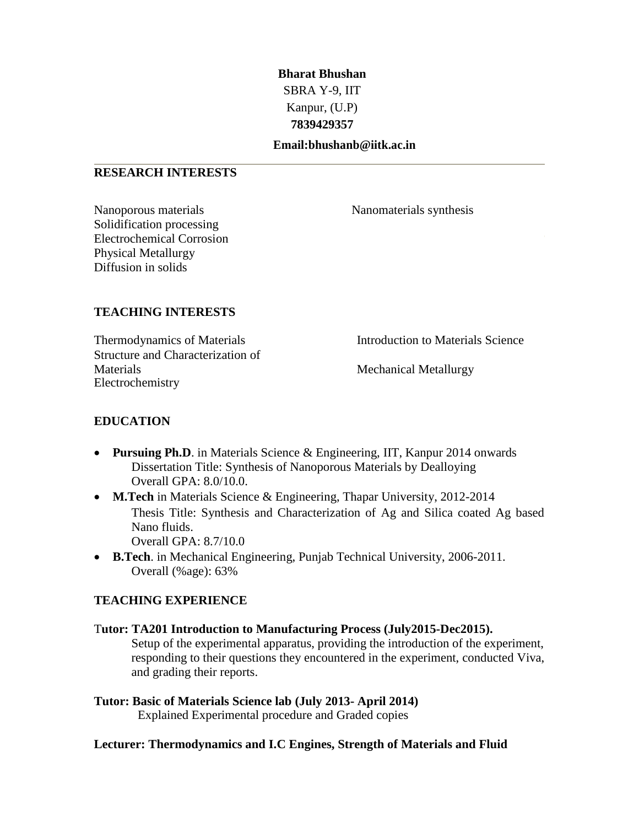## **Bharat Bhushan** SBRA Y-9, IIT Kanpur, (U.P) **7839429357**

#### **Email:bhushanb@iitk.ac.in**

#### **RESEARCH INTERESTS**

Nanoporous materials Nanomaterials synthesis Solidification processing Electrochemical Corrosion Physical Metallurgy Diffusion in solids

### **TEACHING INTERESTS**

Thermodynamics of Materials **Introduction** to Materials Science Structure and Characterization of Materials Mechanical Metallurgy Electrochemistry

## **EDUCATION**

- **Pursuing Ph.D.** in Materials Science & Engineering, IIT, Kanpur 2014 onwards Dissertation Title: Synthesis of Nanoporous Materials by Dealloying Overall GPA: 8.0/10.0.
- **M.Tech** in Materials Science & Engineering, Thapar University, 2012-2014 Thesis Title: Synthesis and Characterization of Ag and Silica coated Ag based Nano fluids. Overall GPA: 8.7/10.0
- **B.Tech**. in Mechanical Engineering, Punjab Technical University, 2006-2011. Overall (%age): 63%

## **TEACHING EXPERIENCE**

# T**utor: TA201 Introduction to Manufacturing Process (July2015-Dec2015).**

Setup of the experimental apparatus, providing the introduction of the experiment, responding to their questions they encountered in the experiment, conducted Viva, and grading their reports.

**Tutor: Basic of Materials Science lab (July 2013- April 2014)** Explained Experimental procedure and Graded copies

#### **Lecturer: Thermodynamics and I.C Engines, Strength of Materials and Fluid**